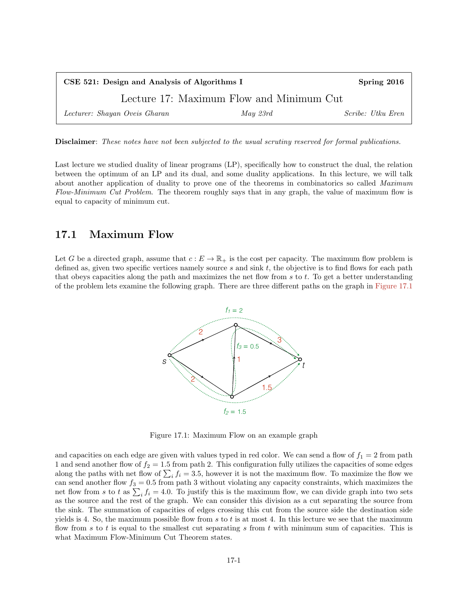| CSE 521: Design and Analysis of Algorithms I |                                          | Spring 2016       |
|----------------------------------------------|------------------------------------------|-------------------|
|                                              | Lecture 17: Maximum Flow and Minimum Cut |                   |
| Lecturer: Shayan Oveis Gharan                | May 23rd                                 | Scribe: Utku Eren |

Disclaimer: These notes have not been subjected to the usual scrutiny reserved for formal publications.

Last lecture we studied duality of linear programs (LP), specifically how to construct the dual, the relation between the optimum of an LP and its dual, and some duality applications. In this lecture, we will talk about another application of duality to prove one of the theorems in combinatorics so called Maximum Flow-Minimum Cut Problem. The theorem roughly says that in any graph, the value of maximum flow is equal to capacity of minimum cut.

## 17.1 Maximum Flow

Let G be a directed graph, assume that  $c : E \to \mathbb{R}_+$  is the cost per capacity. The maximum flow problem is defined as, given two specific vertices namely source  $s$  and sink  $t$ , the objective is to find flows for each path that obeys capacities along the path and maximizes the net flow from  $s$  to  $t$ . To get a better understanding of the problem lets examine the following graph. There are three different paths on the graph in [Figure 17.1](#page-0-0)



<span id="page-0-0"></span>Figure 17.1: Maximum Flow on an example graph

and capacities on each edge are given with values typed in red color. We can send a flow of  $f_1 = 2$  from path 1 and send another flow of  $f_2 = 1.5$  from path 2. This configuration fully utilizes the capacities of some edges along the paths with net flow of  $\sum_i f_i = 3.5$ , however it is not the maximum flow. To maximize the flow we can send another flow  $f_3 = 0.5$  from path 3 without violating any capacity constraints, which maximizes the net flow from s to t as  $\sum_i f_i = 4.0$ . To justify this is the maximum flow, we can divide graph into two sets as the source and the rest of the graph. We can consider this division as a cut separating the source from the sink. The summation of capacities of edges crossing this cut from the source side the destination side yields is 4. So, the maximum possible flow from s to t is at most 4. In this lecture we see that the maximum flow from s to t is equal to the smallest cut separating s from t with minimum sum of capacities. This is what Maximum Flow-Minimum Cut Theorem states.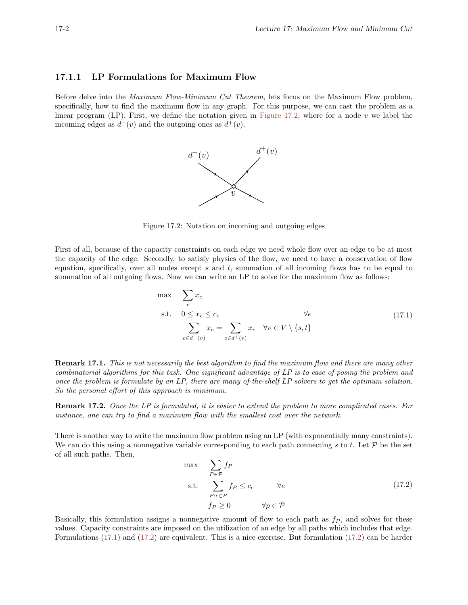## 17.1.1 LP Formulations for Maximum Flow

Before delve into the Maximum Flow-Minimum Cut Theorem, lets focus on the Maximum Flow problem, specifically, how to find the maximum flow in any graph. For this purpose, we can cast the problem as a linear program  $(LP)$ . First, we define the notation given in [Figure 17.2,](#page-1-0) where for a node v we label the incoming edges as  $d^-(v)$  and the outgoing ones as  $d^+(v)$ .

<span id="page-1-0"></span>

Figure 17.2: Notation on incoming and outgoing edges

First of all, because of the capacity constraints on each edge we need whole flow over an edge to be at most the capacity of the edge. Secondly, to satisfy physics of the flow, we need to have a conservation of flow equation, specifically, over all nodes except  $s$  and  $t$ , summation of all incoming flows has to be equal to summation of all outgoing flows. Now we can write an LP to solve for the maximum flow as follows:

<span id="page-1-1"></span>
$$
\max e
$$
\n
$$
\sum_{e} x_e
$$
\n
$$
\text{s.t.} \quad 0 \le x_e \le c_e
$$
\n
$$
\sum_{e \in d^-(v)} x_e = \sum_{e \in d^+(v)} x_e \quad \forall v \in V \setminus \{s, t\}
$$
\n
$$
(17.1)
$$

Remark 17.1. This is not necessarily the best algorithm to find the maximum flow and there are many other combinatorial algorithms for this task. One significant advantage of LP is to ease of posing the problem and once the problem is formulate by an LP, there are many of-the-shelf LP solvers to get the optimum solution. So the personal effort of this approach is minimum.

Remark 17.2. Once the LP is formulated, it is easier to extend the problem to more complicated cases. For instance, one can try to find a maximum flow with the smallest cost over the network.

There is another way to write the maximum flow problem using an LP (with exponentially many constraints). We can do this using a nonnegative variable corresponding to each path connecting s to t. Let  $\mathcal P$  be the set of all such paths. Then,

<span id="page-1-2"></span>
$$
\max_{P \in \mathcal{P}} \sum_{P \in \mathcal{P}} f_P
$$
\n
$$
\text{s.t.} \sum_{P: e \in P} f_P \le c_e \quad \forall e
$$
\n
$$
f_P \ge 0 \quad \forall p \in \mathcal{P}
$$
\n
$$
(17.2)
$$

Basically, this formulation assigns a nonnegative amount of flow to each path as  $f_P$ , and solves for these values. Capacity constraints are imposed on the utilization of an edge by all paths which includes that edge. Formulations [\(17.1\)](#page-1-1) and [\(17.2\)](#page-1-2) are equivalent. This is a nice exercise. But formulation [\(17.2\)](#page-1-2) can be harder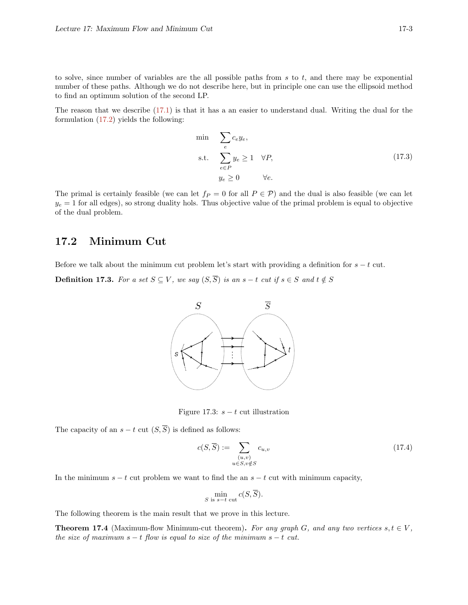to solve, since number of variables are the all possible paths from  $s$  to  $t$ , and there may be exponential number of these paths. Although we do not describe here, but in principle one can use the ellipsoid method to find an optimum solution of the second LP.

The reason that we describe [\(17.1\)](#page-1-1) is that it has a an easier to understand dual. Writing the dual for the formulation [\(17.2\)](#page-1-2) yields the following:

<span id="page-2-0"></span>
$$
\begin{aligned}\n\min \quad & \sum_{e} c_{e} y_{e}, \\
\text{s.t.} \quad & \sum_{e \in P} y_{e} \ge 1 \quad \forall P, \\
& y_{e} \ge 0 \qquad \forall e.\n\end{aligned} \tag{17.3}
$$

The primal is certainly feasible (we can let  $f_P = 0$  for all  $P \in \mathcal{P}$ ) and the dual is also feasible (we can let  $y_e = 1$  for all edges), so strong duality hols. Thus objective value of the primal problem is equal to objective of the dual problem.

## 17.2 Minimum Cut

Before we talk about the minimum cut problem let's start with providing a definition for  $s - t$  cut.

**Definition 17.3.** For a set  $S \subseteq V$ , we say  $(S,\overline{S})$  is an  $s-t$  cut if  $s \in S$  and  $t \notin S$ 



Figure 17.3:  $s - t$  cut illustration

The capacity of an  $s - t$  cut  $(S,\overline{S})$  is defined as follows:

$$
c(S,\overline{S}) := \sum_{\substack{(u,v) \\ u \in S, v \notin S}} c_{u,v}
$$
\n(17.4)

In the minimum  $s - t$  cut problem we want to find the an  $s - t$  cut with minimum capacity,

$$
\min_{S \text{ is } s-t \text{ cut}} c(S, \overline{S}).
$$

<span id="page-2-1"></span>The following theorem is the main result that we prove in this lecture.

**Theorem 17.4** (Maximum-flow Minimum-cut theorem). For any graph G, and any two vertices  $s, t \in V$ , the size of maximum  $s - t$  flow is equal to size of the minimum  $s - t$  cut.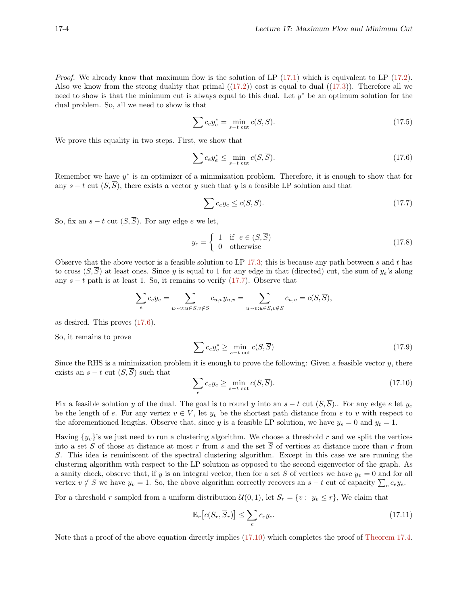Proof. We already know that maximum flow is the solution of LP [\(17.1\)](#page-1-1) which is equivalent to LP [\(17.2\)](#page-1-2). Also we know from the strong duality that primal  $((17.2))$  $((17.2))$  $((17.2))$  cost is equal to dual  $((17.3))$  $((17.3))$  $((17.3))$ . Therefore all we need to show is that the minimum cut is always equal to this dual. Let  $y^*$  be an optimum solution for the dual problem. So, all we need to show is that

<span id="page-3-4"></span><span id="page-3-1"></span>
$$
\sum c_{e} y_{e}^{*} = \min_{s-t \text{ cut}} c(S, \overline{S}).
$$
\n(17.5)

We prove this equality in two steps. First, we show that

$$
\sum c_{e} y_{e}^{*} \le \min_{s-t \text{ cut}} c(S, \overline{S}). \tag{17.6}
$$

Remember we have  $y^*$  is an optimizer of a minimization problem. Therefore, it is enough to show that for any  $s - t$  cut  $(S, \overline{S})$ , there exists a vector y such that y is a feasible LP solution and that

<span id="page-3-0"></span>
$$
\sum c_{e} y_{e} \le c(S, \overline{S}). \tag{17.7}
$$

So, fix an  $s - t$  cut  $(S, \overline{S})$ . For any edge e we let,

$$
y_e = \begin{cases} 1 & \text{if } e \in (S, \overline{S}) \\ 0 & \text{otherwise} \end{cases}
$$
 (17.8)

Observe that the above vector is a feasible solution to LP [17.3;](#page-2-0) this is because any path between s and t has to cross  $(S,\overline{S})$  at least ones. Since y is equal to 1 for any edge in that (directed) cut, the sum of  $y_e$ 's along any  $s - t$  path is at least 1. So, it remains to verify  $(17.7)$ . Observe that

$$
\sum_{e} c_{e} y_{e} = \sum_{u \sim v: u \in S, v \notin S} c_{u,v} y_{u,v} = \sum_{u \sim v: u \in S, v \notin S} c_{u,v} = c(S, \overline{S}),
$$

as desired. This proves [\(17.6\)](#page-3-1).

So, it remains to prove

$$
\sum c_{e} y_{e}^{*} \ge \min_{s-t \text{ cut}} c(S, \overline{S})
$$
\n(17.9)

Since the RHS is a minimization problem it is enough to prove the following: Given a feasible vector  $y$ , there exists an  $s - t$  cut  $(S, \overline{S})$  such that

<span id="page-3-2"></span>
$$
\sum_{e} c_{e} y_{e} \ge \min_{s-t \text{ cut}} c(S, \overline{S}). \tag{17.10}
$$

Fix a feasible solution y of the dual. The goal is to round y into an  $s - t$  cut  $(S, \overline{S})$ . For any edge e let  $y_e$ be the length of e. For any vertex  $v \in V$ , let  $y_v$  be the shortest path distance from s to v with respect to the aforementioned lengths. Observe that, since y is a feasible LP solution, we have  $y_s = 0$  and  $y_t = 1$ .

Having  $\{y_v\}$ 's we just need to run a clustering algorithm. We choose a threshold r and we split the vertices into a set S of those at distance at most r from s and the set  $\overline{S}$  of vertices at distance more than r from S. This idea is reminiscent of the spectral clustering algorithm. Except in this case we are running the clustering algorithm with respect to the LP solution as opposed to the second eigenvector of the graph. As a sanity check, observe that, if y is an integral vector, then for a set S of vertices we have  $y_v = 0$  and for all vertex  $v \notin S$  we have  $y_v = 1$ . So, the above algorithm correctly recovers an  $s - t$  cut of capacity  $\sum_{e} c_e y_e$ .

For a threshold r sampled from a uniform distribution  $\mathcal{U}(0, 1)$ , let  $S_r = \{v : y_v \leq r\}$ , We claim that

<span id="page-3-3"></span>
$$
\mathbb{E}_r\left[c(S_r, \overline{S}_r)\right] \le \sum_e c_e y_e. \tag{17.11}
$$

Note that a proof of the above equation directly implies [\(17.10\)](#page-3-2) which completes the proof of [Theorem 17.4.](#page-2-1)